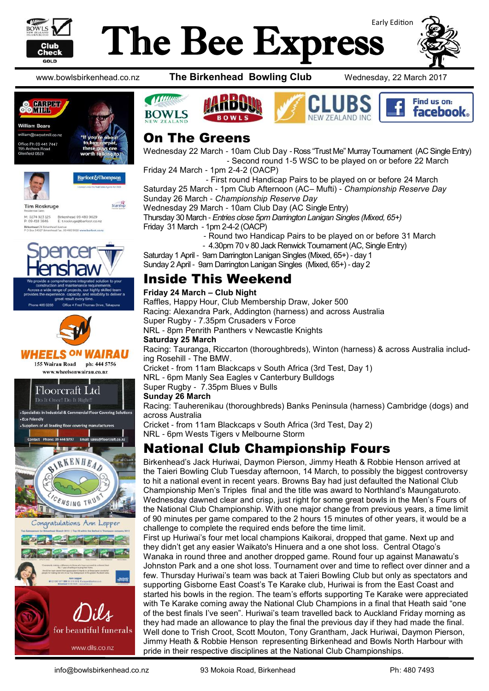

## Early Edition The Bee Express







Starship

**Tim Roskruge** Birkenhead 09 480 9029<br>E: troskruge@barfoot.co M: 0274 923 125<br>P: 09 418 3846 Birkenhead 24 Birkenhead Avenue<br>PO Box 34027 Birkenhead Fax, 09 480 9018 www.bark





### **WHEELS ON WAIRAU**

155 Wairau Road ph: 444 5756 www.wheelsonwairau.co.nz



www.bowlsbirkenhead.co.nz **The Birkenhead Bowling Club** Wednesday, 22 March 2017







### On The Greens

Wednesday 22 March - 10am Club Day - Ross "Trust Me" Murray Tournament (AC Single Entry) - Second round 1-5 WSC to be played on or before 22 March

Friday 24 March - 1pm 2-4-2 (OACP)

 - First round Handicap Pairs to be played on or before 24 March Saturday 25 March - 1pm Club Afternoon (AC– Mufti) - *Championship Reserve Day* Sunday 26 March - *Championship Reserve Day*

Wednesday 29 March - 10am Club Day (AC Single Entry)

Thursday 30 March - *Entries close 5pm Darrington Lanigan Singles (Mixed, 65+)* Friday 31 March - 1pm 2-4-2 (OACP)

- Round two Handicap Pairs to be played on or before 31 March

- 4.30pm 70 v 80 Jack Renwick Tournament (AC, Single Entry)

Saturday 1 April - 9am Darrington Lanigan Singles (Mixed, 65+) - day 1

Sunday 2 April - 9am Darrington Lanigan Singles (Mixed, 65+) - day 2

### Inside This Weekend

#### **Friday 24 March – Club Night**

Raffles, Happy Hour, Club Membership Draw, Joker 500 Racing: Alexandra Park, Addington (harness) and across Australia Super Rugby - 7.35pm Crusaders v Force NRL - 8pm Penrith Panthers v Newcastle Knights

#### **Saturday 25 March**

Racing: Tauranga, Riccarton (thoroughbreds), Winton (harness) & across Australia including Rosehill - The BMW.

Cricket - from 11am Blackcaps v South Africa (3rd Test, Day 1)

NRL - 6pm Manly Sea Eagles v Canterbury Bulldogs

Super Rugby - 7.35pm Blues v Bulls

#### **Sunday 26 March**

Racing: Tauherenikau (thoroughbreds) Banks Peninsula (harness) Cambridge (dogs) and across Australia

Cricket - from 11am Blackcaps v South Africa (3rd Test, Day 2) NRL - 6pm Wests Tigers v Melbourne Storm

## National Club Championship Fours

Birkenhead's Jack Huriwai, Daymon Pierson, Jimmy Heath & Robbie Henson arrived at the Taieri Bowling Club Tuesday afternoon, 14 March, to possibly the biggest controversy to hit a national event in recent years. Browns Bay had just defaulted the National Club Championship Men's Triples final and the title was award to Northland's Maungaturoto. Wednesday dawned clear and crisp, just right for some great bowls in the Men's Fours of the National Club Championship. With one major change from previous years, a time limit of 90 minutes per game compared to the 2 hours 15 minutes of other years, it would be a challenge to complete the required ends before the time limit.

First up Huriwai's four met local champions Kaikorai, dropped that game. Next up and they didn't get any easier Waikato's Hinuera and a one shot loss. Central Otago's Wanaka in round three and another dropped game. Round four up against Manawatu's Johnston Park and a one shot loss. Tournament over and time to reflect over dinner and a few. Thursday Huriwai's team was back at Taieri Bowling Club but only as spectators and supporting Gisborne East Coast's Te Karake club, Huriwai is from the East Coast and started his bowls in the region. The team's efforts supporting Te Karake were appreciated with Te Karake coming away the National Club Champions in a final that Heath said "one of the best finals I've seen". Huriwai's team travelled back to Auckland Friday morning as they had made an allowance to play the final the previous day if they had made the final. Well done to Trish Croot, Scott Mouton, Tony Grantham, Jack Huriwai, Daymon Pierson, Jimmy Heath & Robbie Henson representing Birkenhead and Bowls North Harbour with pride in their respective disciplines at the National Club Championships.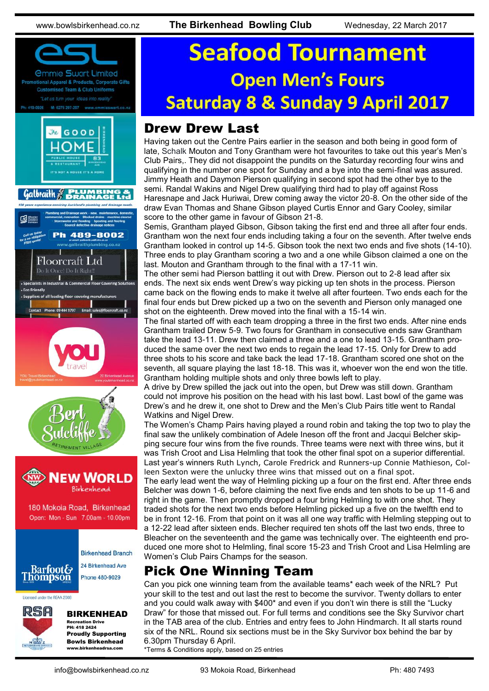

# **Seafood Tournament Open Men's Fours Saturday 8 & Sunday 9 April 2017**

## Drew Drew Last

Having taken out the Centre Pairs earlier in the season and both being in good form of late, Schalk Mouton and Tony Grantham were hot favourites to take out this year's Men's Club Pairs,. They did not disappoint the pundits on the Saturday recording four wins and qualifying in the number one spot for Sunday and a bye into the semi-final was assured. Jimmy Heath and Daymon Pierson qualifying in second spot had the other bye to the semi. Randal Wakins and Nigel Drew qualifying third had to play off against Ross Haresnape and Jack Huriwai, Drew coming away the victor 20-8. On the other side of the draw Evan Thomas and Shane Gibson played Curtis Ennor and Gary Cooley, similar score to the other game in favour of Gibson 21-8.

Semis, Grantham played Gibson, Gibson taking the first end and three all after four ends. Grantham won the next four ends including taking a four on the seventh. After twelve ends Grantham looked in control up 14-5. Gibson took the next two ends and five shots (14-10). Three ends to play Grantham scoring a two and a one while Gibson claimed a one on the last. Mouton and Grantham through to the final with a 17-11 win.

The other semi had Pierson battling it out with Drew. Pierson out to 2-8 lead after six ends. The next six ends went Drew's way picking up ten shots in the process. Pierson came back on the flowing ends to make it twelve all after fourteen. Two ends each for the final four ends but Drew picked up a two on the seventh and Pierson only managed one shot on the eighteenth. Drew moved into the final with a 15-14 win.

The final started off with each team dropping a three in the first two ends. After nine ends Grantham trailed Drew 5-9. Two fours for Grantham in consecutive ends saw Grantham take the lead 13-11. Drew then claimed a three and a one to lead 13-15. Grantham produced the same over the next two ends to regain the lead 17-15. Only for Drew to add three shots to his score and take back the lead 17-18. Grantham scored one shot on the seventh, all square playing the last 18-18. This was it, whoever won the end won the title. Grantham holding multiple shots and only three bowls left to play.

A drive by Drew spilled the jack out into the open, but Drew was still down. Grantham could not improve his position on the head with his last bowl. Last bowl of the game was Drew's and he drew it, one shot to Drew and the Men's Club Pairs title went to Randal Watkins and Nigel Drew.

The Women's Champ Pairs having played a round robin and taking the top two to play the final saw the unlikely combination of Adele Ineson off the front and Jacqui Belcher skipping secure four wins from the five rounds. Three teams were next with three wins, but it was Trish Croot and Lisa Helmling that took the other final spot on a superior differential. Last year's winners Ruth Lynch, Carole Fredrick and Runners-up Connie Mathieson, Colleen Sexton were the unlucky three wins that missed out on a final spot.

The early lead went the way of Helmling picking up a four on the first end. After three ends Belcher was down 1-6, before claiming the next five ends and ten shots to be up 11-6 and right in the game. Then promptly dropped a four bring Helmling to with one shot. They traded shots for the next two ends before Helmling picked up a five on the twelfth end to be in front 12-16. From that point on it was all one way traffic with Helmling stepping out to a 12-22 lead after sixteen ends. Blecher required ten shots off the last two ends, three to Bleacher on the seventeenth and the game was technically over. The eighteenth end produced one more shot to Helmling, final score 15-23 and Trish Croot and Lisa Helmling are Women's Club Pairs Champs for the season.

## Pick One Winning Team

Can you pick one winning team from the available teams\* each week of the NRL? Put your skill to the test and out last the rest to become the survivor. Twenty dollars to enter and you could walk away with \$400\* and even if you don't win there is still the "Lucky Draw" for those that missed out. For full terms and conditions see the Sky Survivor chart in the TAB area of the club. Entries and entry fees to John Hindmarch. It all starts round six of the NRL. Round six sections must be in the Sky Survivor box behind the bar by 6.30pm Thursday 6 April.

\*Terms & Conditions apply, based on 25 entries

www.birkenheadrsa.com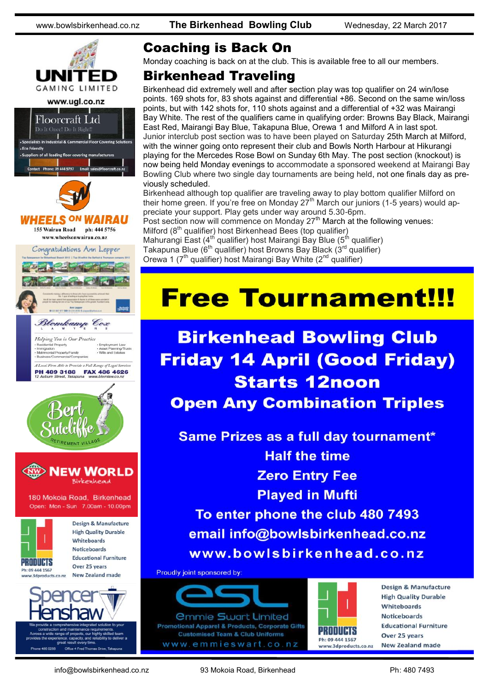

## Coaching is Back On

Monday coaching is back on at the club. This is available free to all our members.

### Birkenhead Traveling

Birkenhead did extremely well and after section play was top qualifier on 24 win/lose points. 169 shots for, 83 shots against and differential +86. Second on the same win/loss points, but with 142 shots for, 110 shots against and a differential of +32 was Mairangi Bay White. The rest of the qualifiers came in qualifying order: Browns Bay Black, Mairangi East Red, Mairangi Bay Blue, Takapuna Blue, Orewa 1 and Milford A in last spot. Junior interclub post section was to have been played on Saturday 25th March at Milford, with the winner going onto represent their club and Bowls North Harbour at Hikurangi playing for the Mercedes Rose Bowl on Sunday 6th May. The post section (knockout) is now being held Monday evenings to accommodate a sponsored weekend at Mairangi Bay Bowling Club where two single day tournaments are being held, not one finals day as previously scheduled.

Birkenhead although top qualifier are traveling away to play bottom qualifier Milford on their home green. If you're free on Monday 27th March our juniors (1-5 years) would appreciate your support. Play gets under way around 5.30-6pm. Post section now will commence on Monday 27<sup>th</sup> March at the following venues: Milford (8<sup>th</sup> qualifier) host Birkenhead Bees (top qualifier)

Mahurangi East (4<sup>th</sup> qualifier) host Mairangi Bay Blue (5<sup>th</sup> qualifier) Takapuna Blue (6<sup>th</sup> qualifier) host Browns Bay Black (3<sup>rd</sup> qualifier) Orewa 1 ( $7<sup>th</sup>$  qualifier) host Mairangi Bay White ( $2<sup>nd</sup>$  qualifier)

## **Free Tournament!!!**

## **Birkenhead Bowling Club Friday 14 April (Good Friday) Starts 12noon Open Any Combination Triples**

Same Prizes as a full day tournament\* **Half the time Zero Entry Fee Played in Mufti** To enter phone the club 480 7493 email info@bowlsbirkenhead.co.nz www.bowlsbirkenhead.co.nz

Proudly joint sponsored by:





**Design & Manufacture High Quality Durable** Whiteboards **Noticeboards Educational Furniture** Over 25 years **New Zealand made**